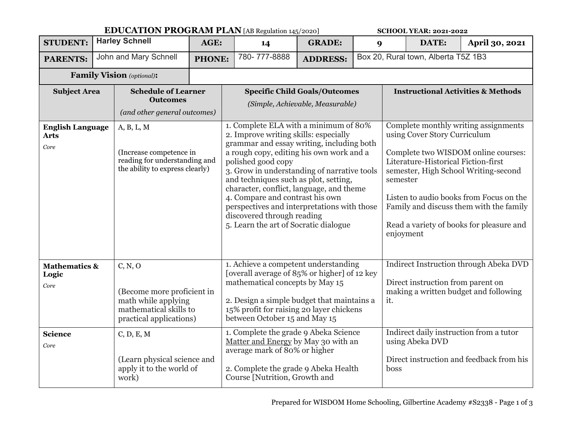|                                                |  | <b>EDUCATION PROGRAM PLAN</b> [AB Regulation 145/2020]                                                            |               |                                                                                                                                                                                                                                                                                                                                                                                                                                                                                            |                                                                                                                                                                                        |                 | <b>SCHOOL YEAR: 2021-2022</b>                                                                                                                                                                                                                                                                                                                         |                                     |                 |                                          |
|------------------------------------------------|--|-------------------------------------------------------------------------------------------------------------------|---------------|--------------------------------------------------------------------------------------------------------------------------------------------------------------------------------------------------------------------------------------------------------------------------------------------------------------------------------------------------------------------------------------------------------------------------------------------------------------------------------------------|----------------------------------------------------------------------------------------------------------------------------------------------------------------------------------------|-----------------|-------------------------------------------------------------------------------------------------------------------------------------------------------------------------------------------------------------------------------------------------------------------------------------------------------------------------------------------------------|-------------------------------------|-----------------|------------------------------------------|
| <b>STUDENT:</b>                                |  | <b>Harley Schnell</b>                                                                                             |               | AGE:                                                                                                                                                                                                                                                                                                                                                                                                                                                                                       | 14                                                                                                                                                                                     | <b>GRADE:</b>   | 9                                                                                                                                                                                                                                                                                                                                                     |                                     | DATE:           | April 30, 2021                           |
| <b>PARENTS:</b>                                |  | John and Mary Schnell                                                                                             | <b>PHONE:</b> |                                                                                                                                                                                                                                                                                                                                                                                                                                                                                            | 780-777-8888                                                                                                                                                                           | <b>ADDRESS:</b> |                                                                                                                                                                                                                                                                                                                                                       | Box 20, Rural town, Alberta T5Z 1B3 |                 |                                          |
| <b>Family Vision</b> (optional):               |  |                                                                                                                   |               |                                                                                                                                                                                                                                                                                                                                                                                                                                                                                            |                                                                                                                                                                                        |                 |                                                                                                                                                                                                                                                                                                                                                       |                                     |                 |                                          |
| <b>Subject Area</b>                            |  | <b>Schedule of Learner</b><br><b>Outcomes</b><br>(and other general outcomes)                                     |               | <b>Specific Child Goals/Outcomes</b><br>(Simple, Achievable, Measurable)                                                                                                                                                                                                                                                                                                                                                                                                                   |                                                                                                                                                                                        |                 | <b>Instructional Activities &amp; Methods</b>                                                                                                                                                                                                                                                                                                         |                                     |                 |                                          |
| <b>English Language</b><br><b>Arts</b><br>Core |  | A, B, L, M<br>(Increase competence in<br>reading for understanding and<br>the ability to express clearly)         |               | 1. Complete ELA with a minimum of 80%<br>2. Improve writing skills: especially<br>grammar and essay writing, including both<br>a rough copy, editing his own work and a<br>polished good copy<br>3. Grow in understanding of narrative tools<br>and techniques such as plot, setting,<br>character, conflict, language, and theme<br>4. Compare and contrast his own<br>perspectives and interpretations with those<br>discovered through reading<br>5. Learn the art of Socratic dialogue |                                                                                                                                                                                        |                 | Complete monthly writing assignments<br>using Cover Story Curriculum<br>Complete two WISDOM online courses:<br>Literature-Historical Fiction-first<br>semester, High School Writing-second<br>semester<br>Listen to audio books from Focus on the<br>Family and discuss them with the family<br>Read a variety of books for pleasure and<br>enjoyment |                                     |                 |                                          |
| <b>Mathematics &amp;</b><br>Logic<br>Core      |  | C, N, O<br>(Become more proficient in<br>math while applying<br>mathematical skills to<br>practical applications) |               | 1. Achieve a competent understanding<br>[overall average of 85% or higher] of 12 key<br>mathematical concepts by May 15<br>2. Design a simple budget that maintains a<br>15% profit for raising 20 layer chickens<br>between October 15 and May 15                                                                                                                                                                                                                                         |                                                                                                                                                                                        |                 | Indirect Instruction through Abeka DVD<br>Direct instruction from parent on<br>making a written budget and following<br>it.<br>Indirect daily instruction from a tutor                                                                                                                                                                                |                                     |                 |                                          |
| <b>Science</b><br>Core                         |  | C, D, E, M<br>(Learn physical science and<br>apply it to the world of<br>work)                                    |               |                                                                                                                                                                                                                                                                                                                                                                                                                                                                                            | 1. Complete the grade 9 Abeka Science<br>Matter and Energy by May 30 with an<br>average mark of 80% or higher<br>2. Complete the grade 9 Abeka Health<br>Course [Nutrition, Growth and |                 |                                                                                                                                                                                                                                                                                                                                                       | boss                                | using Abeka DVD | Direct instruction and feedback from his |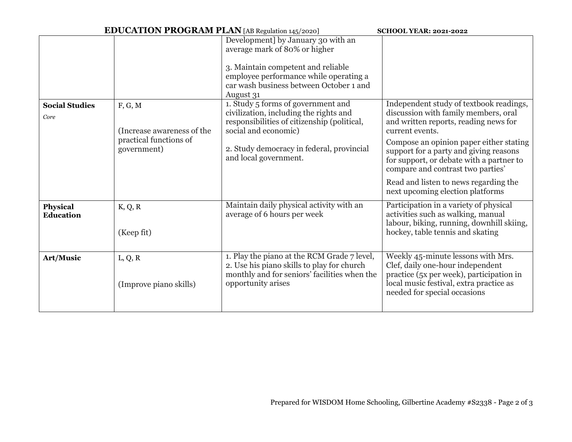|                               | <b>EDUCATION PROGRAM PLAN</b> [AB Regulation 145/2020]                         | <b>SCHOOL YEAR: 2021-2022</b>                                                                                                                                                                                             |                                                                                                                                                                                                                                                                                                                                                                                                |  |  |
|-------------------------------|--------------------------------------------------------------------------------|---------------------------------------------------------------------------------------------------------------------------------------------------------------------------------------------------------------------------|------------------------------------------------------------------------------------------------------------------------------------------------------------------------------------------------------------------------------------------------------------------------------------------------------------------------------------------------------------------------------------------------|--|--|
|                               |                                                                                | Development] by January 30 with an<br>average mark of 80% or higher<br>3. Maintain competent and reliable<br>employee performance while operating a<br>car wash business between October 1 and<br>August 31               |                                                                                                                                                                                                                                                                                                                                                                                                |  |  |
| <b>Social Studies</b><br>Core | F, G, M<br>(Increase awareness of the<br>practical functions of<br>government) | 1. Study 5 forms of government and<br>civilization, including the rights and<br>responsibilities of citizenship (political,<br>social and economic)<br>2. Study democracy in federal, provincial<br>and local government. | Independent study of textbook readings,<br>discussion with family members, oral<br>and written reports, reading news for<br>current events.<br>Compose an opinion paper either stating<br>support for a party and giving reasons<br>for support, or debate with a partner to<br>compare and contrast two parties'<br>Read and listen to news regarding the<br>next upcoming election platforms |  |  |
| Physical<br>Education         | K, Q, R<br>(Keep fit)                                                          | Maintain daily physical activity with an<br>average of 6 hours per week                                                                                                                                                   | Participation in a variety of physical<br>activities such as walking, manual<br>labour, biking, running, downhill skiing,<br>hockey, table tennis and skating                                                                                                                                                                                                                                  |  |  |
| Art/Music                     | L, Q, R<br>(Improve piano skills)                                              | 1. Play the piano at the RCM Grade 7 level,<br>2. Use his piano skills to play for church<br>monthly and for seniors' facilities when the<br>opportunity arises                                                           | Weekly 45-minute lessons with Mrs.<br>Clef, daily one-hour independent<br>practice (5x per week), participation in<br>local music festival, extra practice as<br>needed for special occasions                                                                                                                                                                                                  |  |  |